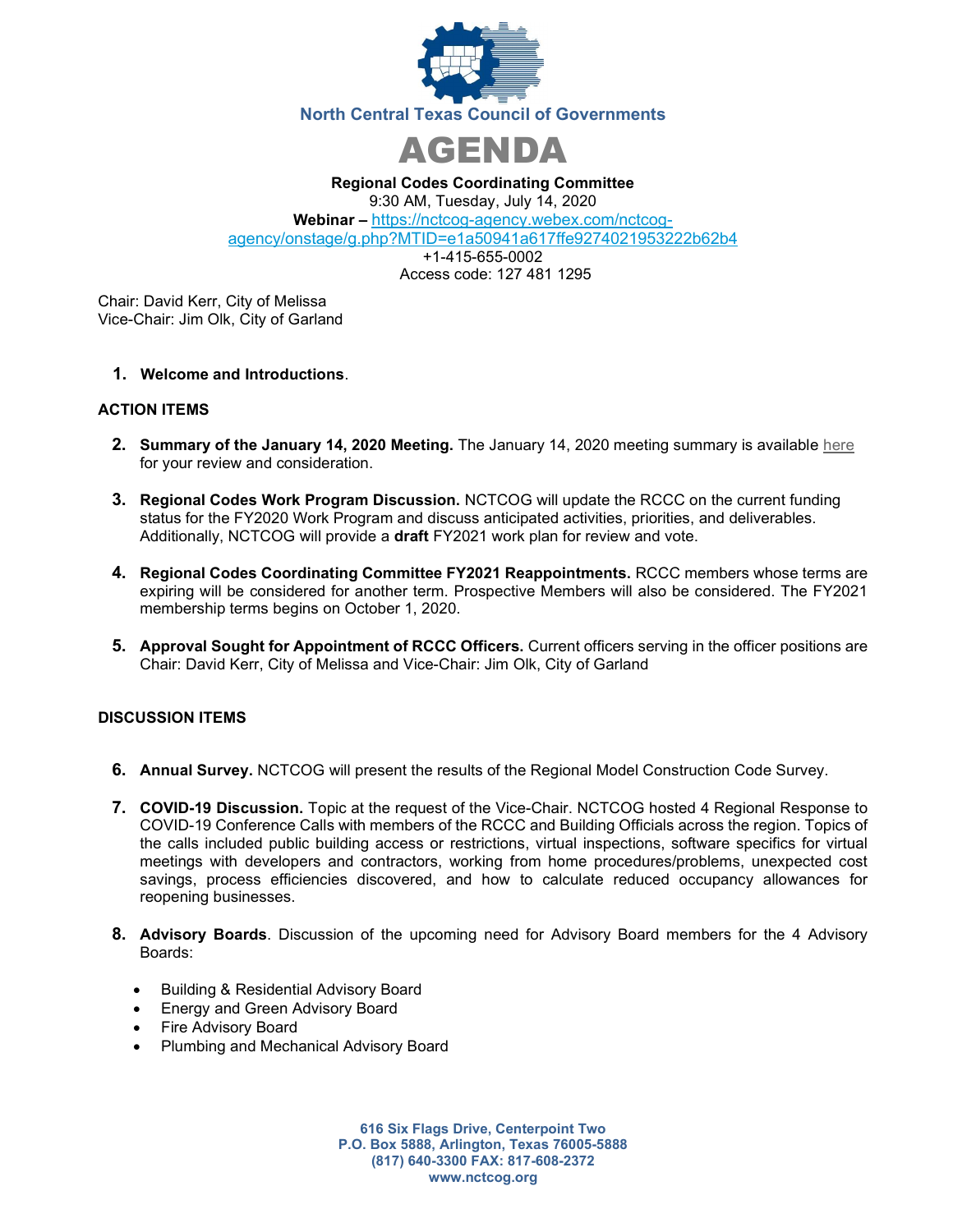



Regional Codes Coordinating Committee 9:30 AM, Tuesday, July 14, 2020 Webinar – https://nctcog-agency.webex.com/nctcogagency/onstage/g.php?MTID=e1a50941a617ffe9274021953222b62b4 +1-415-655-0002

Access code: 127 481 1295

Chair: David Kerr, City of Melissa Vice-Chair: Jim Olk, City of Garland

# 1. Welcome and Introductions.

### ACTION ITEMS

- 2. Summary of the January 14, 2020 Meeting. The January 14, 2020 meeting summary is available here for your review and consideration.
- 3. Regional Codes Work Program Discussion. NCTCOG will update the RCCC on the current funding status for the FY2020 Work Program and discuss anticipated activities, priorities, and deliverables. Additionally, NCTCOG will provide a draft FY2021 work plan for review and vote.
- 4. Regional Codes Coordinating Committee FY2021 Reappointments. RCCC members whose terms are expiring will be considered for another term. Prospective Members will also be considered. The FY2021 membership terms begins on October 1, 2020.
- 5. Approval Sought for Appointment of RCCC Officers. Current officers serving in the officer positions are Chair: David Kerr, City of Melissa and Vice-Chair: Jim Olk, City of Garland

# DISCUSSION ITEMS

- 6. Annual Survey. NCTCOG will present the results of the Regional Model Construction Code Survey.
- 7. COVID-19 Discussion. Topic at the request of the Vice-Chair. NCTCOG hosted 4 Regional Response to COVID-19 Conference Calls with members of the RCCC and Building Officials across the region. Topics of the calls included public building access or restrictions, virtual inspections, software specifics for virtual meetings with developers and contractors, working from home procedures/problems, unexpected cost savings, process efficiencies discovered, and how to calculate reduced occupancy allowances for reopening businesses.
- 8. Advisory Boards. Discussion of the upcoming need for Advisory Board members for the 4 Advisory Boards:
	- Building & Residential Advisory Board
	- Energy and Green Advisory Board
	- Fire Advisory Board
	- Plumbing and Mechanical Advisory Board

616 Six Flags Drive, Centerpoint Two P.O. Box 5888, Arlington, Texas 76005-5888 (817) 640-3300 FAX: 817-608-2372 www.nctcog.org